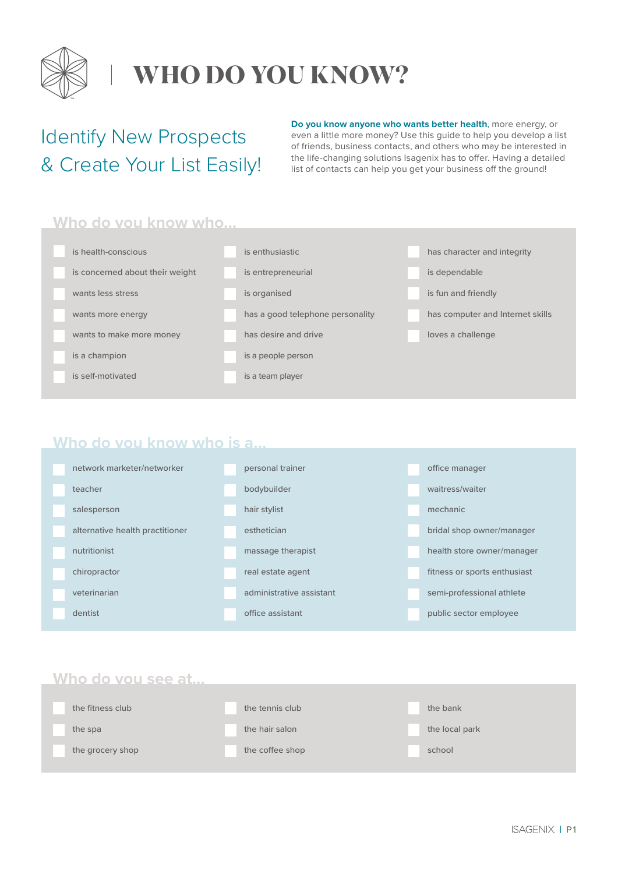

### **WHO DO YOU KNOW?**

### Identify New Prospects & Create Your List Easily!

**Do you know anyone who wants better health**, more energy, or even a little more money? Use this guide to help you develop a list of friends, business contacts, and others who may be interested in the life-changing solutions Isagenix has to offer. Having a detailed list of contacts can help you get your business off the ground!

#### **Who do you know who…**

| is health-conscious             | is enthusiastic                  | has character and integrity      |
|---------------------------------|----------------------------------|----------------------------------|
| is concerned about their weight | is entrepreneurial               | is dependable                    |
| wants less stress               | is organised                     | is fun and friendly              |
| wants more energy               | has a good telephone personality | has computer and Internet skills |
| wants to make more money        | has desire and drive             | loves a challenge                |
| is a champion                   | is a people person               |                                  |
| is self-motivated               | is a team player                 |                                  |

#### **Who do you know who is a…**

| network marketer/networker      | personal trainer         | office manager               |  |
|---------------------------------|--------------------------|------------------------------|--|
| teacher                         | bodybuilder              | waitress/waiter              |  |
| salesperson                     | hair stylist             | mechanic                     |  |
| alternative health practitioner | esthetician              | bridal shop owner/manager    |  |
| nutritionist                    | massage therapist        | health store owner/manager   |  |
| chiropractor                    | real estate agent        | fitness or sports enthusiast |  |
| veterinarian                    | administrative assistant | semi-professional athlete    |  |
| dentist                         | office assistant         | public sector employee       |  |

#### **Who do you see at…**

| the fitness club | the tennis club | the bank       |
|------------------|-----------------|----------------|
| the spa          | the hair salon  | the local park |
| the grocery shop | the coffee shop | school         |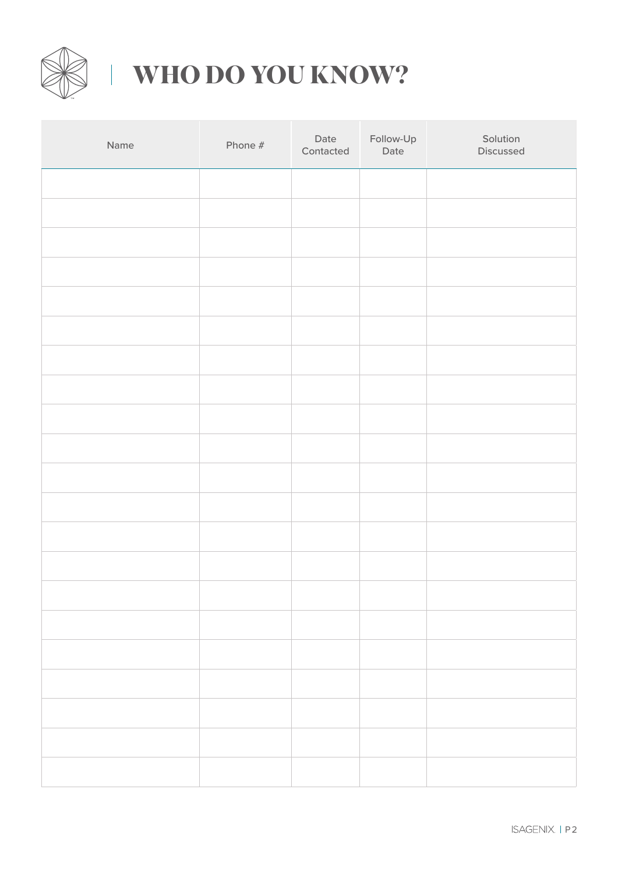

# **WHO DO YOU KNOW?**

| Name | Phone # | Date<br>Contacted | Follow-Up<br>Date | Solution<br>Discussed |
|------|---------|-------------------|-------------------|-----------------------|
|      |         |                   |                   |                       |
|      |         |                   |                   |                       |
|      |         |                   |                   |                       |
|      |         |                   |                   |                       |
|      |         |                   |                   |                       |
|      |         |                   |                   |                       |
|      |         |                   |                   |                       |
|      |         |                   |                   |                       |
|      |         |                   |                   |                       |
|      |         |                   |                   |                       |
|      |         |                   |                   |                       |
|      |         |                   |                   |                       |
|      |         |                   |                   |                       |
|      |         |                   |                   |                       |
|      |         |                   |                   |                       |
|      |         |                   |                   |                       |
|      |         |                   |                   |                       |
|      |         |                   |                   |                       |
|      |         |                   |                   |                       |
|      |         |                   |                   |                       |
|      |         |                   |                   |                       |